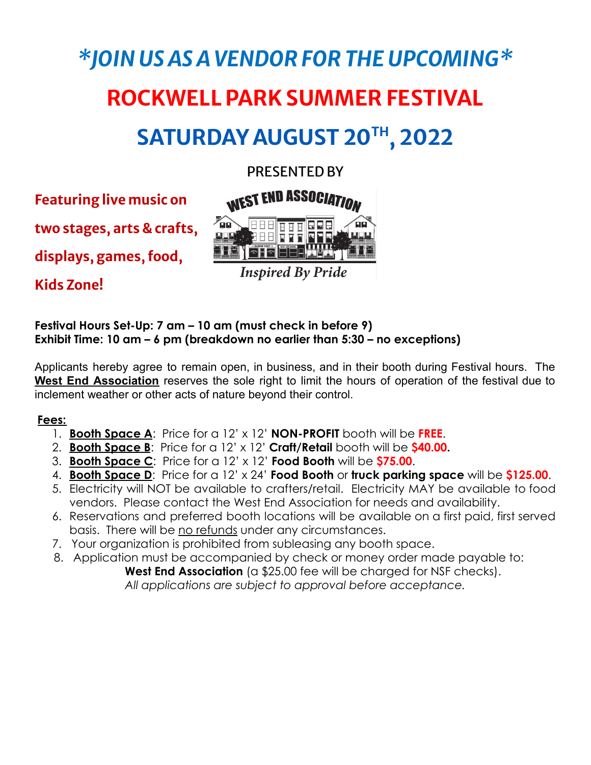# *\*JOIN US AS A VENDOR FOR THE UPCOMING\** **ROCKWELLPARK SUMMER FESTIVAL**  $SATURDAY AUGUST 20<sup>TH</sup>, 2022$

# PRESENTED BY

**Featuring live music on**

**two stages, arts & crafts,**

**displays, games, food,**

**Kids Zone!**





**Inspired By Pride** 

## **Festival Hours Set-Up: 7 am – 10 am (must check in before 9) Exhibit Time: 10 am – 6 pm (breakdown no earlier than 5:30 – no exceptions)**

Applicants hereby agree to remain open, in business, and in their booth during Festival hours. The **West End Association** reserves the sole right to limit the hours of operation of the festival due to inclement weather or other acts of nature beyond their control.

# **Fees:**

- 1. **Booth Space A**: Price for a 12' x 12' **NON-PROFIT** booth will be **FREE**.
- 2. **Booth Space B**: Price for a 12' x 12' **Craft/Retail** booth will be **\$40.00.**
- 3. **Booth Space C**: Price for a 12' x 12' **Food Booth** will be **\$75.00**.
- 4. **Booth Space D**: Price for a 12' x 24' **Food Booth** or **truck parking space** will be **\$125.00**.
- 5. Electricity will NOT be available to crafters/retail. Electricity MAY be available to food vendors. Please contact the West End Association for needs and availability.
- 6. Reservations and preferred booth locations will be available on a first paid, first served basis. There will be no refunds under any circumstances.
- 7. Your organization is prohibited from subleasing any booth space.
- 8. Application must be accompanied by check or money order made payable to:

West End Association (a \$25.00 fee will be charged for NSF checks). *All applications are subject to approval before acceptance.*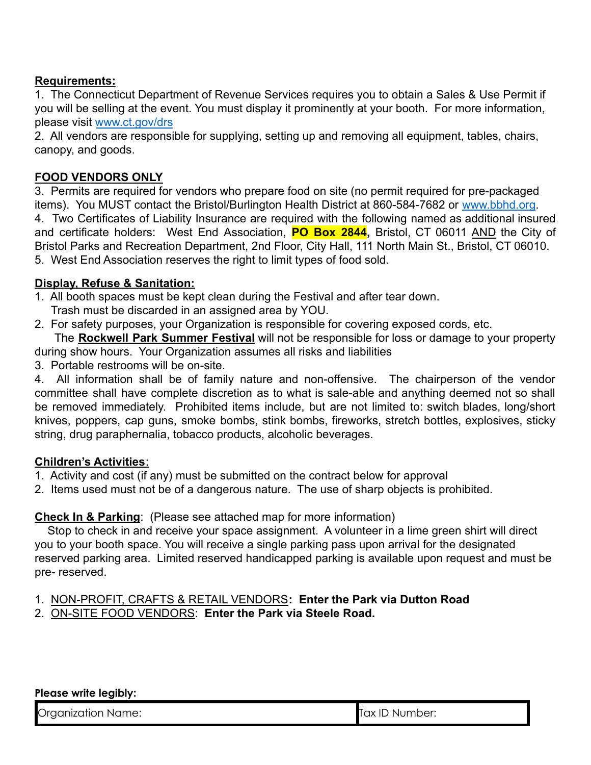# **Requirements:**

1. The Connecticut Department of Revenue Services requires you to obtain a Sales & Use Permit if you will be selling at the event. You must display it prominently at your booth. For more information, please visit [www.ct.gov/drs](http://www.ct.gov/drs)

2. All vendors are responsible for supplying, setting up and removing all equipment, tables, chairs, canopy, and goods.

# **FOOD VENDORS ONLY**

3. Permits are required for vendors who prepare food on site (no permit required for pre-packaged items). You MUST contact the Bristol/Burlington Health District at 860-584-7682 or [www.bbhd.org](http://www.bbhd.org). 4. Two Certificates of Liability Insurance are required with the following named as additional insured and certificate holders: West End Association, **PO Box 2844,** Bristol, CT 06011 AND the City of Bristol Parks and Recreation Department, 2nd Floor, City Hall, 111 North Main St., Bristol, CT 06010. 5. West End Association reserves the right to limit types of food sold.

# **Display, Refuse & Sanitation:**

- 1. All booth spaces must be kept clean during the Festival and after tear down.
	- Trash must be discarded in an assigned area by YOU.
- 2. For safety purposes, your Organization is responsible for covering exposed cords, etc.

The **Rockwell Park Summer Festival** will not be responsible for loss or damage to your property during show hours. Your Organization assumes all risks and liabilities

3. Portable restrooms will be on-site.

4. All information shall be of family nature and non-offensive. The chairperson of the vendor committee shall have complete discretion as to what is sale-able and anything deemed not so shall be removed immediately. Prohibited items include, but are not limited to: switch blades, long/short knives, poppers, cap guns, smoke bombs, stink bombs, fireworks, stretch bottles, explosives, sticky string, drug paraphernalia, tobacco products, alcoholic beverages.

#### **Children's Activities**:

- 1. Activity and cost (if any) must be submitted on the contract below for approval
- 2. Items used must not be of a dangerous nature. The use of sharp objects is prohibited.

# **Check In & Parking**: (Please see attached map for more information)

Stop to check in and receive your space assignment. A volunteer in a lime green shirt will direct you to your booth space. You will receive a single parking pass upon arrival for the designated reserved parking area. Limited reserved handicapped parking is available upon request and must be pre- reserved.

- 1. NON-PROFIT, CRAFTS & RETAIL VENDORS**: Enter the Park via Dutton Road**
- 2. ON-SITE FOOD VENDORS: **Enter the Park via Steele Road.**

#### **Please write legibly:**

Organization Name: Tax ID Number: